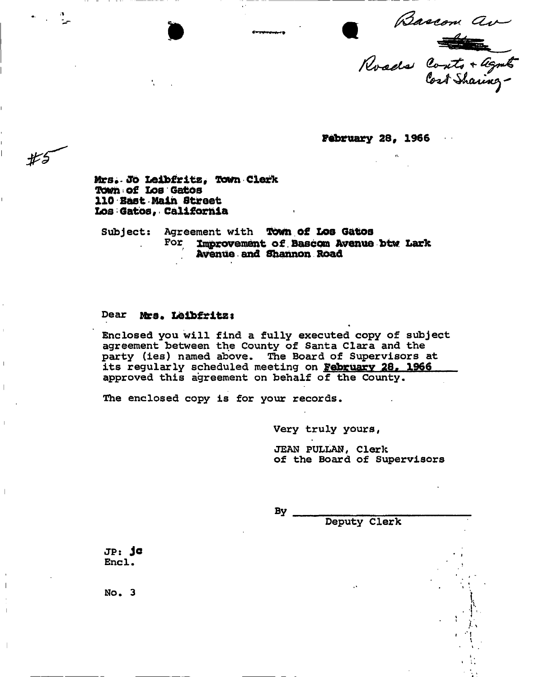Bascon av<br>Roads Conts + agnt

**February 28, 1966** 

**Mrs.-Oo Leibfritz, Town Clerk Tdwn of Los Gafcos 110 Bast Main Street Los • Gatos,. California** 

**Subject: Agreement with Town Of Los Gatos**  For Improvement of Bascom Avenue btw Lark **Avenue•and Shannon Boad** 

### Dear Mrs. Leibfritz:

**Enclosed you will find a fully executed copy of subject agreement between the County of Santa Clara and the party (ies) named above. The Board of Supervisors at its regularly scheduled meeting on February 28, 1966 approved this agreement on behalf of the County.** 

**The enclosed copy is for your records.** 

**Very truly yours,** 

**JEAN PULLAN, Clerk of the Board of Supervisors** 

**By** 

**Deputy Clerk** 

i •'! *\* 

**JP: Jo**  Encl.

**No. 3**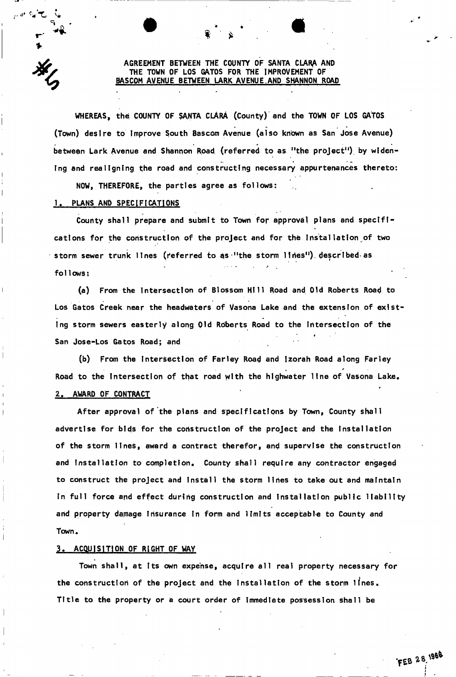

# AGREEMENT BETWEEN THE COUNTY OF SANTA CLARA AND THE TOWN OF LOS GATOS FOR THE IMPROVEMENT OF SCOM AVENUE BETWEEN LARK AVENUE AND SHANNON ROAD

WHEREAS, the COUNTY OF SANTA CLARA (County) and the TOWN OF LOS GATOS (Town) desire to Improve South Bascom Avenue (also known as San Jose Avenue) between Lark Avenue and Shannon Road (referred to as "the project") by widening and realigning the road and constructing necessary appurtenances thereto:

NOW, THEREFORE, the parties agree as follows:

### 1. PLANS AND SPECIFICATIONS

County shall prepare and submit to Town for approval plans and specifications for the construction of the project and for the Installation of two storm sewer trunk lines (referred to as "the storm lines") described as fo11ows:

(a) From the Intersection of Blossom Hill Road and Old Roberts Road to Los Gatos Creek near the headwaters of Vasona Lake and the extension of existing storm sewers easterly along Old Roberts Road to the Intersection of the San Jose-Los Gatos Road; and

(b) From the Intersection of Farley Road and Izorah Road along Farley Road to the Intersection of that road with the hlghwater line of Vasona Lake, 2. AWARD OF CONTRACT

After approval of the plans and specifications by Town, County shall advertise for bids for the construction of the project and the Installation of the storm lines, award a contract therefor, and supervise the construction and Installation to completion. County shall require any contractor engaged to construct the project and Install the storm lines to take out and maintain In full force apd effect during construction and Installation public liability and property damage Insurance In form and limits acceptable to County and Town.

# 3. ACQUISITION OF RIGHT OF WAY

Town shall, at Its own expense, acquire all real property necessary for the construction of the project and the Installation of the storm lines. Title to the property or a court order of Immediate possession shall be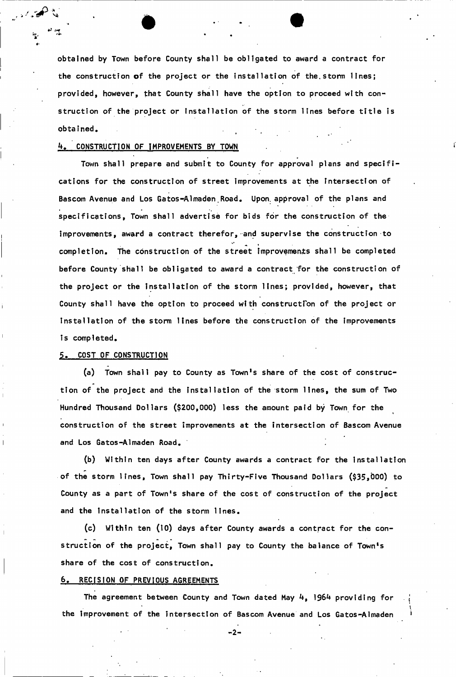obtained by Town before County shall be obligated to award a contract for the construction of the project or the installation of the storm lines; provided, however, that County shall have the option to proceed with construction of the project or installation of the storm lines before title is obta ined.

### 4. CONSTRUCTION OF IMPROVEMENTS BY TOWN

Town shall prepare and submit to County for approval plans and specifications for the construction of street improvements at the Intersection of Bascom Avenue and Los Gatos-Almaden Road. Upon approval of the plans and specifications, Town shall advertise for bids for the construction of the improvements, award a contract therefor, and supervise the construction to completion. The construction of the street improvements shall be completed completion. The construction of the street improvements shall be completed in provements shall be completed in before County shall be obligated to award a contract for the construction of the project or the installation of the storm lines; provided, however, that County shall have the option to proceed with construction of the project or Installation of the storm lines before the construction of the improvements Ts completed.

# 5» COST OF CONSTRUCTION

(a) Town shall pay to County as Town's share of the cost of construction of the project and the installation of the storm lines, the sum of Two Hundred Thousand Dollars (\$200,000) less the amount paid by Town for the construction of the street improvements at the intersection of Bascom Avenue and Los Gatos-Almaden Road.

(b) Within ten days after County awards a contract for the installation of the storm lines, Town shall pay Thirty-Five Thousand Dollars (\$35,000) to County as a part of Town's share of the cost of construction of the project and the installation of the storm lines.

(c) Within ten (10) days after County awards a contract for the construction of the project, Town shall pay to County the balance of Town's share of the cost of construction.

#### 6. REGIS10N OF PREVIOUS AGREEMENTS

The agreement between County and Town dated May 4, 1964 providing for the Improvement of the intersection of Bascom Avenue and Los Gatos-Almaden

-2-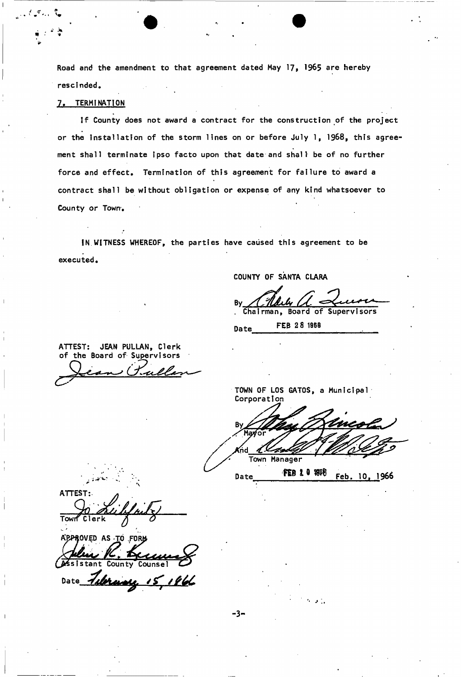Road and the amendment to that agreement dated May 17, 1965 are hereby rescinded.

# 7. TERMINATION

If County does not award a contract for the construction of the project or the installation of the storm lines on or before July 1, 1968, this agreement shall terminate ipso facto upon that date and shall be of no further force and effect. Termination of this agreement for failure to award a contract shall be without obligation or expense of any kind whatsoever to County or Town'.

IN WITNESS WHEREOF, the parties have caused this agreement to be executed.

COUNTY OF SANTA CLARA

By , Chairman, Board of Supervisors

Date FEB 28 1968

ATTEST: JEAN PULLAN, Clerk of the Board of Supervisors

> TOWN OF LOS GATOS, a Municipal **Corporation**

ńd Town Manager

Date **FEB 10 1988** Feb. 10, 1966

ATTEST: Town Clerk

APPROVED AS TO FOR

County Date *Altram*  $15,1866$ 

-3-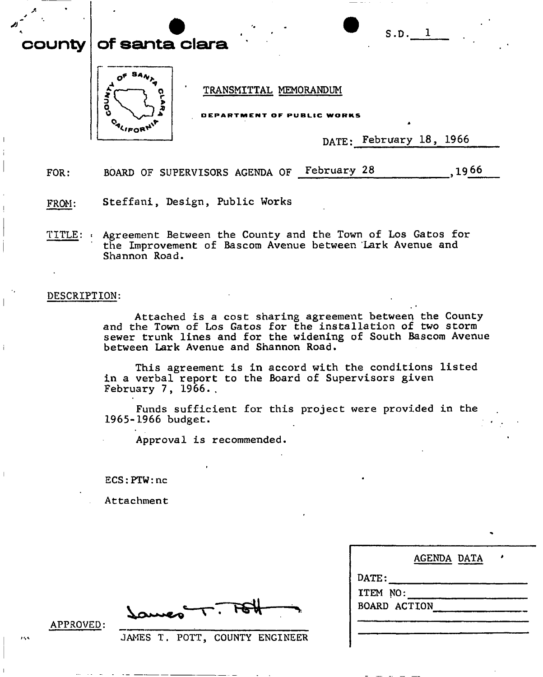| county of santa clara |                                                                                                                                                |
|-----------------------|------------------------------------------------------------------------------------------------------------------------------------------------|
|                       | TRANSMITTAL MEMORANDUM<br>o<br>z                                                                                                               |
|                       | ر<br>د                                                                                                                                         |
|                       | DATE: February 18, 1966                                                                                                                        |
| FOR:                  | BOARD OF SUPERVISORS AGENDA OF February 28<br>1966                                                                                             |
| FROM:                 | Steffani, Design, Public Works                                                                                                                 |
|                       | TITLE: Agreement Between the County and the Town of Los Gatos for<br>the Improvement of Bascom Avenue between Lark Avenue and<br>Shannon Road. |

Attached is a cost sharing agreement between the County and the Town of Los Gatos for the installation of two storm sewer trunk lines and for the widening of South Bascom Avenue between Lark Avenue and Shannon Road.

This agreement is in accord with the conditions listed in a verbal report to the Board of Supervisors given February 7, 1966.

Funds sufficient for this project were provided in the 1965-1966 budget.

Approval is recommended.

ECS:PTW:nc

Attachment

|                     | AGENDA DATA |  |
|---------------------|-------------|--|
| DATE:               |             |  |
| ITEM NO:            |             |  |
| <b>BOARD ACTION</b> |             |  |
|                     |             |  |
|                     |             |  |
|                     |             |  |

**APPROVED:** 

 $155$ 

**JAMES T. POTT, COUNTY ENGINEER**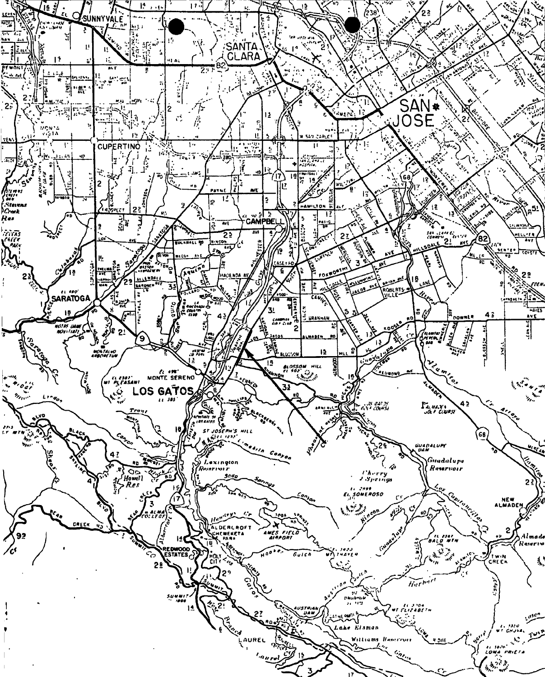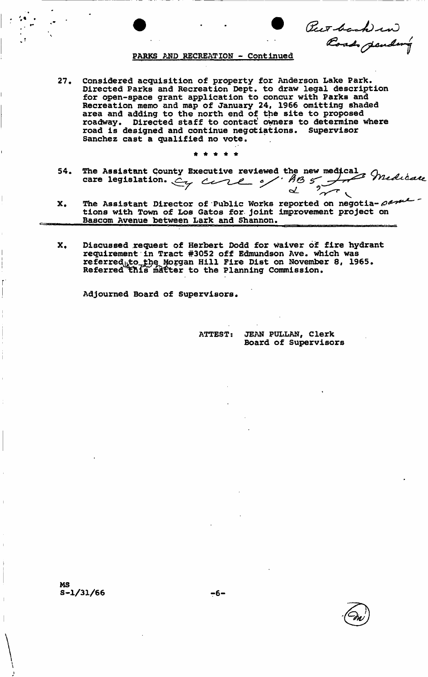*(xLijr*  /

### **PARKS AND RECREATION - Continued**

**27• Considered acquisition of property for Anderson Lake Park. Directed Parks and Recreation Dept. to draw legal description for open-space grant application to concur with Parks and Recreation memo and map of January 24, 1966 omitting shaded area and adding to the north end of the site to proposed roadway\* Directed staff to contact<sup>1</sup> owners to determine where road is designed and continue negotiations. Supervisor Sanchez cast a qualified no vote.** 

#### \*\*\*\* \*

- **54. The Assistant County Executive reviewed the new medical ,**  care legislation.  $C_{\text{L}}$   $C_{\text{L}}$   $\in$   $\neq$   $\neq$   $\neq$   $\neq$   $\neq$   $\neq$   $\neq$   $\neq$   $\neq$   $\neq$   $\neq$   $\neq$   $\neq$   $\neq$   $\neq$   $\neq$   $\neq$   $\neq$   $\neq$   $\neq$   $\neq$   $\neq$   $\neq$   $\neq$   $\neq$   $\neq$   $\neq$   $\neq$   $\neq$   $\neq$  $\Delta$
- **X.** The Assistant Director of Public Works reported on negotia- game  $\sim$ **tions with Town of Los Gatos for joint improvement project on Bascom Avenue between Lark and Shannon.**
- **X , Discussed request of Herbert Dodd for waiver of fire hydrant requirement in Tract #3052 off Edmundson Ave. which was referredj^o «ie Morgan Hill Fire Dist on November 8, 1965, Referred^M s m&tter to the Planning Commission.**

**Adjourned Board of Supervisors.** 

**ATTEST: JEAN PULLAN, Clerk Board of Supervisors** 

**MS S-1/31/66** - 6-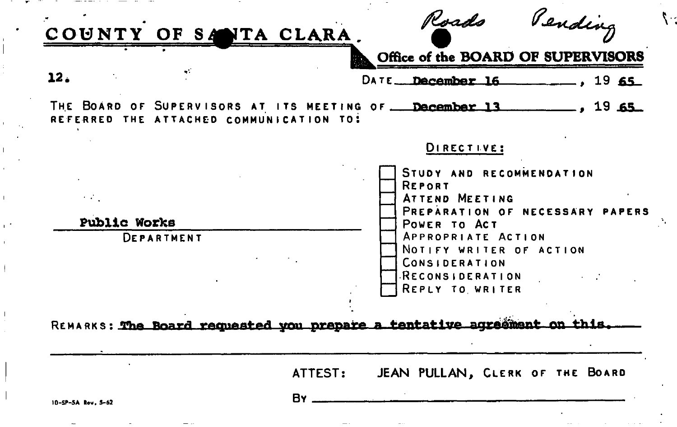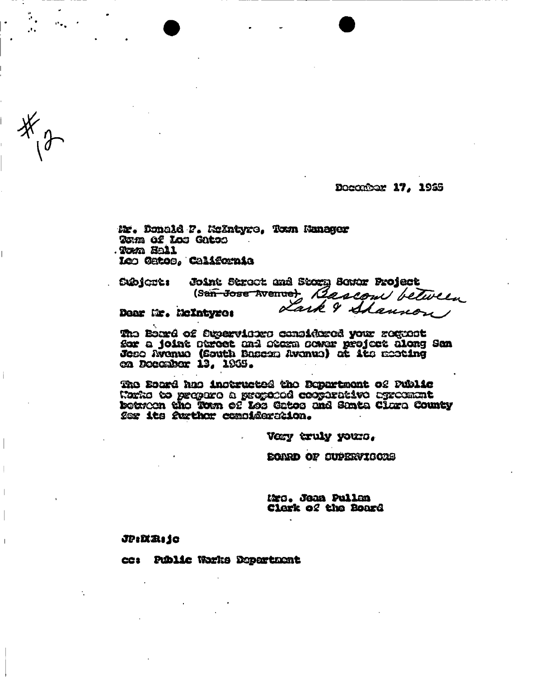December 17, 1955

Mr. Donald F. McIntyre. Town Haneger Town of Los Gatos .Tom Hall Leo Gatos, California

Joint Street and Stery Sentr Project **ENGIGES** (San-Jose Avenue) Bascom between Dear Mr. DeIntyre:

The Board of Supervisors considered your request for a joint street and sterm sower project along San<br>Jeso Avenue (South Baseen Avenue) at its meeting ca December 13, 1965.

The Board has instructed the Department of Public Morke to prepare a proposed cooparative agreement botween the Town of Los Gatos and Santa Clara County for its further consideration.

Very truly yours.

**EOARD OF CUPERVICORS** 

Mrc. Jean Pullan Clark of the Board

JP:IX:RIjc

ce: Public Works Department

 $\hat{\mathbf{e}}_{\bullet\perp}$  .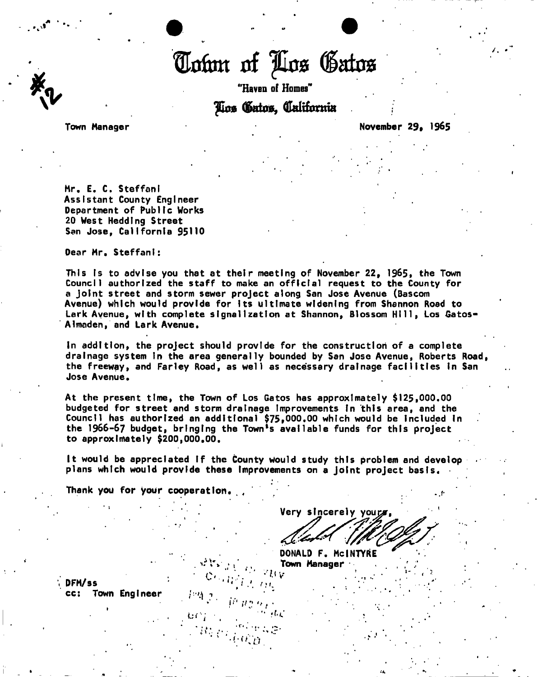**©06 m xr f Ji m (lat e** 

"Haven of Homes" Jios (Satos, California

Town Manager

November 29, 1965

Mr. E. C. Steffanl Assistant County Engineer Department of Public Works 20 West Heddlng Street San Jose, California 95110

Dear Mr. Steffanl:

This is to advise you that at their meeting of November 22, **I965,** the Town Council authorized the staff to make an official request to the County for a Joint street and storm sewer project along San Jose Avenue (Bascom Avenue) which would provide for its ultimate widening from Shannon Road to Lark Avenue, with complete signalIzatlon at Shannon, Blossom Hill, Los Gatos- ' Almaden, and Lark Avenue.

In addition, the project should provide for the construction of a complete drainage system In the area generally bounded by San Jose Avenue, Roberts Road, the freeway, and Farley Road, as well as necessary drainage facilities In San Jose Avenue.

At the present time, the Town of Los Gatos has approximately \$125,000.00 budgeted for street and storm drainage Improvements In this area, and the Council has authorized an additional \$75,000.00 which would be included In the 1966–67 budget, bringing the Town's available funds for this project to approximately \$200,000.00.

It would be appreciated If the County Would study this problem and develop plans which would provide these Improvements on a Joint project basis.

Thank you for your cooperation.

Very sincerely your

DONALD F. McIN TYRE Town Manager

\ DFM/ss

cc: Town Engineer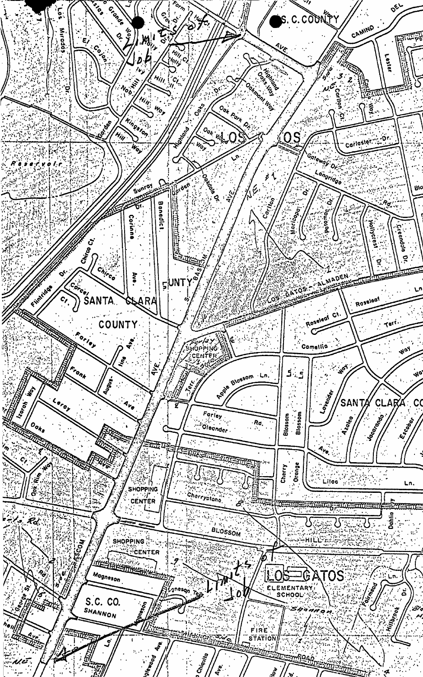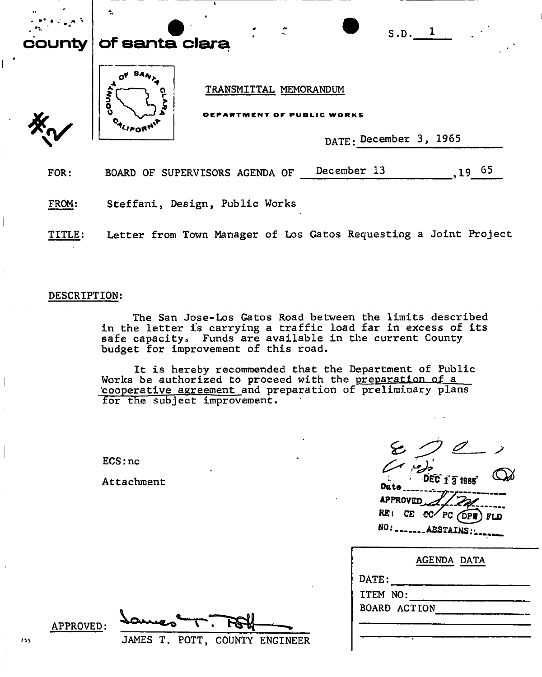| <b>COUNTY</b> | S.D.<br>of santa clara                                                                           |  |  |  |  |
|---------------|--------------------------------------------------------------------------------------------------|--|--|--|--|
|               | TRANSMITTAL MEMORANDUM<br>Mnoo<br><b>DEPARTMENT OF PUBLIC</b><br>WORKS<br>DATE: December 3, 1965 |  |  |  |  |
| FOR:          | $,19$ 65<br>December 13<br>BOARD OF SUPERVISORS AGENDA OF                                        |  |  |  |  |
| FROM:         | Steffani, Design, Public Works                                                                   |  |  |  |  |
| <b>TITLE:</b> | Letter from Town Manager of Los Gatos Requesting a Joint Project                                 |  |  |  |  |

# DESCRIPTION:

The San Jose-Los Gatos Road between the limits described The San Jose-Los Gatos Road between the limits described<br>in the letter is carrying a traffic load far in excess of its In the fetter is carrying a craffic foad far in cacess of budget for improvement of this road.

It is hereby recommended that the Department of Public Works be authorized to proceed with the preparation of a 'cooperative agreement and preparation of preliminary plans for the subject improvement.

Attachment

 $\sum_{n=1}^{\infty}$  **ECS:** nc DEC 1 3 1965

**APPROVEI**  $RE:$ CE CC. **PC** NO : \_\_\_\_\_\_\_ ABSTAINS : <u>'</u>\_\_

|                     |  | AGENDA DATA |  |
|---------------------|--|-------------|--|
| DATE:               |  |             |  |
| ITEM NO:            |  |             |  |
| <b>BOARD ACTION</b> |  |             |  |
|                     |  |             |  |
|                     |  |             |  |



JAMES T. POTT, COUNTY ENGINEER

 $755$